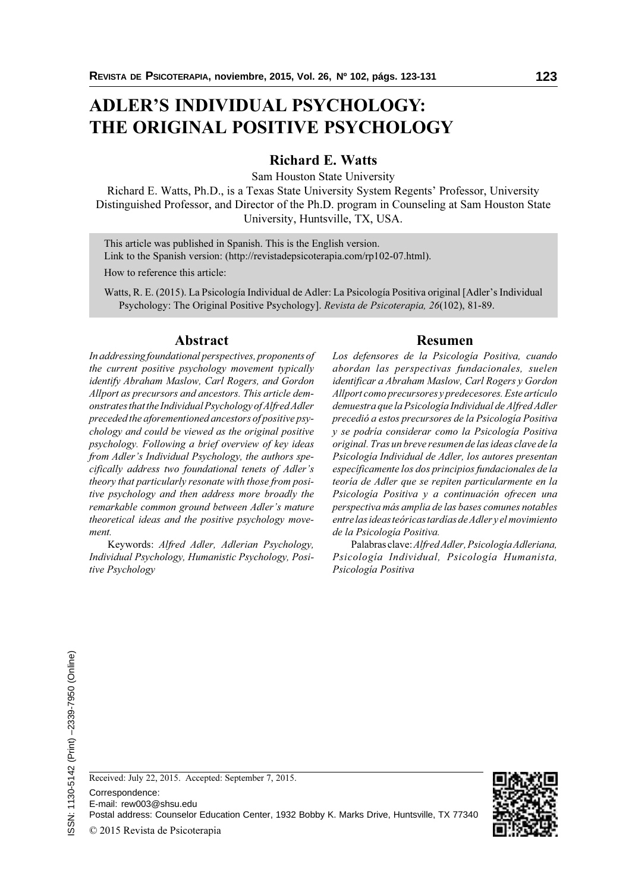# ADLER'S INDIVIDUAL PSYCHOLOGY: THE ORIGINAL POSITIVE PSYCHOLOGY

## Richard E. Watts

Sam Houston State University

Richard E. Watts, Ph.D., is a Texas State University System Regents' Professor, University Distinguished Professor, and Director of the Ph.D. program in Counseling at Sam Houston State University, Huntsville, TX, USA.

This article was published in Spanish. This is the English version.

Link to the Spanish version: (http://revistadepsicoterapia.com/rp102-07.html).

How to reference this article:

Watts, R. E. (2015). La Psicología Individual de Adler: La Psicología Positiva original [Adler's Individual Psychology: The Original Positive Psychology]. Revista de Psicoterapia, 26(102), 81-89.

#### Abstract

In addressing foundational perspectives, proponents of the current positive psychology movement typically identify Abraham Maslow, Carl Rogers, and Gordon Allport as precursors and ancestors. This article demonstrates that the Individual Psychology of Alfred Adler preceded the aforementioned ancestors of positive psychology and could be viewed as the original positive psychology. Following a brief overview of key ideas from Adler's Individual Psychology, the authors specifically address two foundational tenets of Adler's theory that particularly resonate with those from positive psychology and then address more broadly the remarkable common ground between Adler's mature theoretical ideas and the positive psychology movement.

Keywords: Alfred Adler, Adlerian Psychology, Individual Psychology, Humanistic Psychology, Positive Psychology

#### Resumen

Los defensores de la Psicología Positiva, cuando abordan las perspectivas fundacionales, suelen identificar a Abraham Maslow, Carl Rogers y Gordon Allport como precursores y predecesores. Este artículo demuestra que la Psicología Individual de Alfred Adler precedió a estos precursores de la Psicología Positiva y se podría considerar como la Psicología Positiva original. Tras un breve resumen de las ideas clave de la Psicología Individual de Adler, los autores presentan específicamente los dos principios fundacionales de la teoría de Adler que se repiten particularmente en la Psicología Positiva y a continuación ofrecen una perspectiva más amplia de las bases comunes notables entre las ideas teóricas tardías de Adler y el movimiento de la Psicología Positiva.

Palabras clave: Alfred Adler, Psicología Adleriana, Psicología Individual, Psicología Humanista, Psicología Positiva



Correspondence:

E-mail: rew003@shsu.edu



Postal address: Counselor Education Center, 1932 Bobby K. Marks Drive, Huntsville, TX 77340

© 2015 Revista de Psicoterapia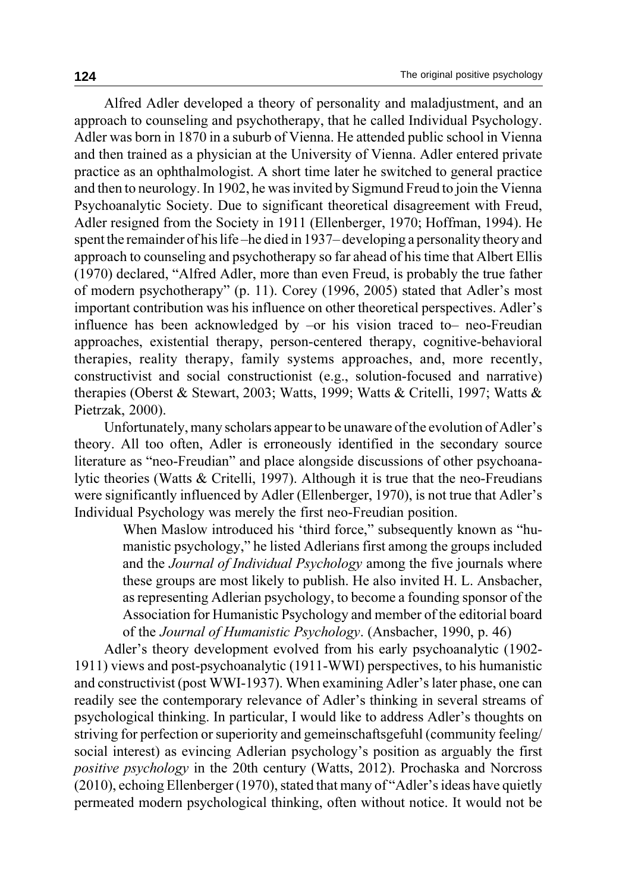Alfred Adler developed a theory of personality and maladjustment, and an approach to counseling and psychotherapy, that he called Individual Psychology. Adler was born in 1870 in a suburb of Vienna. He attended public school in Vienna and then trained as a physician at the University of Vienna. Adler entered private practice as an ophthalmologist. A short time later he switched to general practice and then to neurology. In 1902, he was invited by Sigmund Freud to join the Vienna Psychoanalytic Society. Due to significant theoretical disagreement with Freud, Adler resigned from the Society in 1911 (Ellenberger, 1970; Hoffman, 1994). He spent the remainder of his life –he died in 1937– developing a personality theory and approach to counseling and psychotherapy so far ahead of his time that Albert Ellis (1970) declared, "Alfred Adler, more than even Freud, is probably the true father of modern psychotherapy" (p. 11). Corey (1996, 2005) stated that Adler's most important contribution was his influence on other theoretical perspectives. Adler's influence has been acknowledged by –or his vision traced to– neo-Freudian approaches, existential therapy, person-centered therapy, cognitive-behavioral therapies, reality therapy, family systems approaches, and, more recently, constructivist and social constructionist (e.g., solution-focused and narrative) therapies (Oberst & Stewart, 2003; Watts, 1999; Watts & Critelli, 1997; Watts & Pietrzak, 2000).

Unfortunately, many scholars appear to be unaware of the evolution of Adler's theory. All too often, Adler is erroneously identified in the secondary source literature as "neo-Freudian" and place alongside discussions of other psychoanalytic theories (Watts & Critelli, 1997). Although it is true that the neo-Freudians were significantly influenced by Adler (Ellenberger, 1970), is not true that Adler's Individual Psychology was merely the first neo-Freudian position.

> When Maslow introduced his 'third force," subsequently known as "humanistic psychology," he listed Adlerians first among the groups included and the Journal of Individual Psychology among the five journals where these groups are most likely to publish. He also invited H. L. Ansbacher, as representing Adlerian psychology, to become a founding sponsor of the Association for Humanistic Psychology and member of the editorial board of the Journal of Humanistic Psychology. (Ansbacher, 1990, p. 46)

Adler's theory development evolved from his early psychoanalytic (1902- 1911) views and post-psychoanalytic (1911-WWI) perspectives, to his humanistic and constructivist (post WWI-1937). When examining Adler's later phase, one can readily see the contemporary relevance of Adler's thinking in several streams of psychological thinking. In particular, I would like to address Adler's thoughts on striving for perfection or superiority and gemeinschaftsgefuhl (community feeling/ social interest) as evincing Adlerian psychology's position as arguably the first positive psychology in the 20th century (Watts, 2012). Prochaska and Norcross (2010), echoing Ellenberger (1970), stated that many of "Adler's ideas have quietly permeated modern psychological thinking, often without notice. It would not be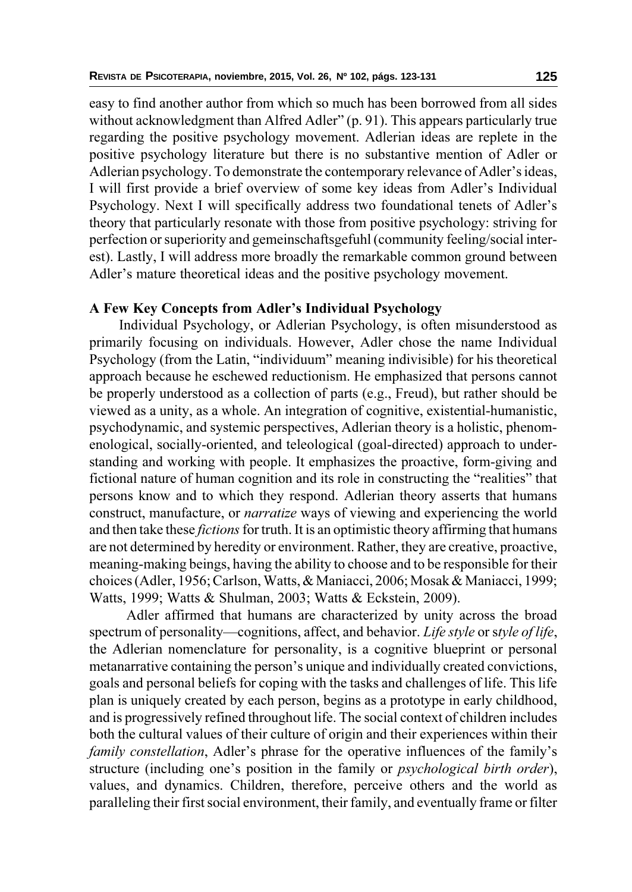easy to find another author from which so much has been borrowed from all sides without acknowledgment than Alfred Adler" (p. 91). This appears particularly true regarding the positive psychology movement. Adlerian ideas are replete in the positive psychology literature but there is no substantive mention of Adler or Adlerian psychology. To demonstrate the contemporary relevance of Adler's ideas, I will first provide a brief overview of some key ideas from Adler's Individual Psychology. Next I will specifically address two foundational tenets of Adler's theory that particularly resonate with those from positive psychology: striving for perfection or superiority and gemeinschaftsgefuhl (community feeling/social interest). Lastly, I will address more broadly the remarkable common ground between Adler's mature theoretical ideas and the positive psychology movement.

## A Few Key Concepts from Adler's Individual Psychology

Individual Psychology, or Adlerian Psychology, is often misunderstood as primarily focusing on individuals. However, Adler chose the name Individual Psychology (from the Latin, "individuum" meaning indivisible) for his theoretical approach because he eschewed reductionism. He emphasized that persons cannot be properly understood as a collection of parts (e.g., Freud), but rather should be viewed as a unity, as a whole. An integration of cognitive, existential-humanistic, psychodynamic, and systemic perspectives, Adlerian theory is a holistic, phenomenological, socially-oriented, and teleological (goal-directed) approach to understanding and working with people. It emphasizes the proactive, form-giving and fictional nature of human cognition and its role in constructing the "realities" that persons know and to which they respond. Adlerian theory asserts that humans construct, manufacture, or narratize ways of viewing and experiencing the world and then take these fictions for truth. It is an optimistic theory affirming that humans are not determined by heredity or environment. Rather, they are creative, proactive, meaning-making beings, having the ability to choose and to be responsible for their choices (Adler, 1956; Carlson, Watts, & Maniacci, 2006; Mosak & Maniacci, 1999; Watts, 1999; Watts & Shulman, 2003; Watts & Eckstein, 2009).

Adler affirmed that humans are characterized by unity across the broad spectrum of personality—cognitions, affect, and behavior. Life style or style of life, the Adlerian nomenclature for personality, is a cognitive blueprint or personal metanarrative containing the person's unique and individually created convictions, goals and personal beliefs for coping with the tasks and challenges of life. This life plan is uniquely created by each person, begins as a prototype in early childhood, and is progressively refined throughout life. The social context of children includes both the cultural values of their culture of origin and their experiences within their family constellation, Adler's phrase for the operative influences of the family's structure (including one's position in the family or *psychological birth order*), values, and dynamics. Children, therefore, perceive others and the world as paralleling their first social environment, their family, and eventually frame or filter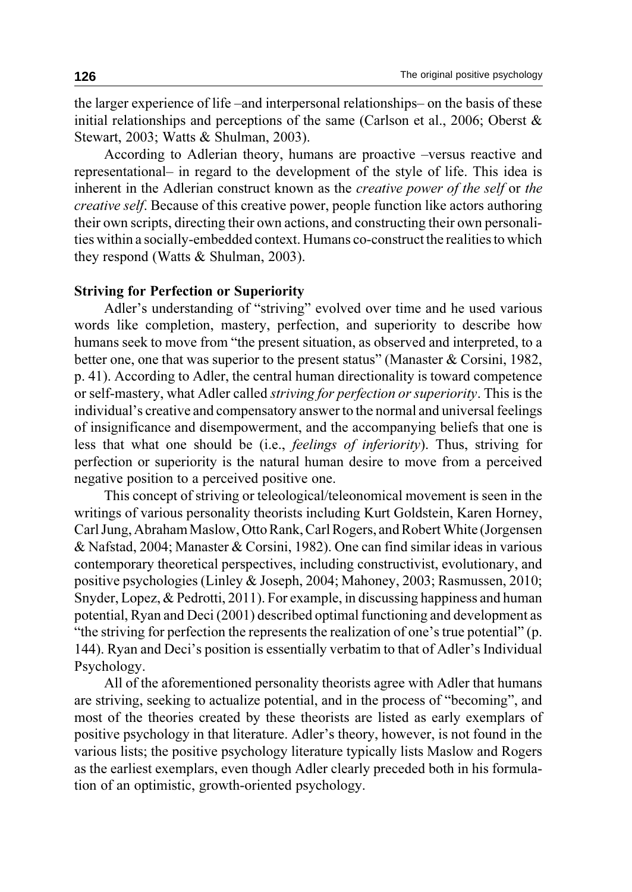the larger experience of life –and interpersonal relationships– on the basis of these initial relationships and perceptions of the same (Carlson et al., 2006; Oberst  $\&$ Stewart, 2003; Watts & Shulman, 2003).

According to Adlerian theory, humans are proactive –versus reactive and representational– in regard to the development of the style of life. This idea is inherent in the Adlerian construct known as the *creative power of the self* or the creative self. Because of this creative power, people function like actors authoring their own scripts, directing their own actions, and constructing their own personalities within a socially-embedded context. Humans co-construct the realities to which they respond (Watts & Shulman, 2003).

#### Striving for Perfection or Superiority

Adler's understanding of "striving" evolved over time and he used various words like completion, mastery, perfection, and superiority to describe how humans seek to move from "the present situation, as observed and interpreted, to a better one, one that was superior to the present status" (Manaster & Corsini, 1982, p. 41). According to Adler, the central human directionality is toward competence or self-mastery, what Adler called striving for perfection or superiority. This is the individual's creative and compensatory answer to the normal and universal feelings of insignificance and disempowerment, and the accompanying beliefs that one is less that what one should be (i.e., feelings of inferiority). Thus, striving for perfection or superiority is the natural human desire to move from a perceived negative position to a perceived positive one.

This concept of striving or teleological/teleonomical movement is seen in the writings of various personality theorists including Kurt Goldstein, Karen Horney, Carl Jung, Abraham Maslow, Otto Rank, Carl Rogers, and Robert White (Jorgensen & Nafstad, 2004; Manaster & Corsini, 1982). One can find similar ideas in various contemporary theoretical perspectives, including constructivist, evolutionary, and positive psychologies (Linley & Joseph, 2004; Mahoney, 2003; Rasmussen, 2010; Snyder, Lopez, & Pedrotti, 2011). For example, in discussing happiness and human potential, Ryan and Deci (2001) described optimal functioning and development as "the striving for perfection the represents the realization of one's true potential" (p. 144). Ryan and Deci's position is essentially verbatim to that of Adler's Individual Psychology.

All of the aforementioned personality theorists agree with Adler that humans are striving, seeking to actualize potential, and in the process of "becoming", and most of the theories created by these theorists are listed as early exemplars of positive psychology in that literature. Adler's theory, however, is not found in the various lists; the positive psychology literature typically lists Maslow and Rogers as the earliest exemplars, even though Adler clearly preceded both in his formulation of an optimistic, growth-oriented psychology.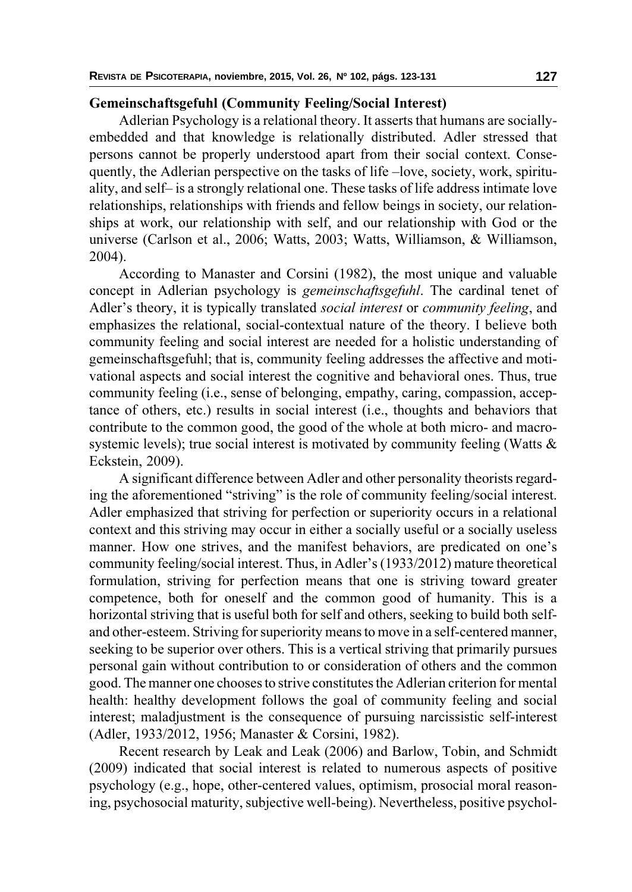# Gemeinschaftsgefuhl (Community Feeling/Social Interest)

Adlerian Psychology is a relational theory. It asserts that humans are sociallyembedded and that knowledge is relationally distributed. Adler stressed that persons cannot be properly understood apart from their social context. Consequently, the Adlerian perspective on the tasks of life –love, society, work, spirituality, and self– is a strongly relational one. These tasks of life address intimate love relationships, relationships with friends and fellow beings in society, our relationships at work, our relationship with self, and our relationship with God or the universe (Carlson et al., 2006; Watts, 2003; Watts, Williamson, & Williamson, 2004).

According to Manaster and Corsini (1982), the most unique and valuable concept in Adlerian psychology is *gemeinschaftsgefuhl*. The cardinal tenet of Adler's theory, it is typically translated social interest or community feeling, and emphasizes the relational, social-contextual nature of the theory. I believe both community feeling and social interest are needed for a holistic understanding of gemeinschaftsgefuhl; that is, community feeling addresses the affective and motivational aspects and social interest the cognitive and behavioral ones. Thus, true community feeling (i.e., sense of belonging, empathy, caring, compassion, acceptance of others, etc.) results in social interest (i.e., thoughts and behaviors that contribute to the common good, the good of the whole at both micro- and macrosystemic levels); true social interest is motivated by community feeling (Watts & Eckstein, 2009).

A significant difference between Adler and other personality theorists regarding the aforementioned "striving" is the role of community feeling/social interest. Adler emphasized that striving for perfection or superiority occurs in a relational context and this striving may occur in either a socially useful or a socially useless manner. How one strives, and the manifest behaviors, are predicated on one's community feeling/social interest. Thus, in Adler's (1933/2012) mature theoretical formulation, striving for perfection means that one is striving toward greater competence, both for oneself and the common good of humanity. This is a horizontal striving that is useful both for self and others, seeking to build both selfand other-esteem. Striving for superiority means to move in a self-centered manner, seeking to be superior over others. This is a vertical striving that primarily pursues personal gain without contribution to or consideration of others and the common good. The manner one chooses to strive constitutes the Adlerian criterion for mental health: healthy development follows the goal of community feeling and social interest; maladjustment is the consequence of pursuing narcissistic self-interest (Adler, 1933/2012, 1956; Manaster & Corsini, 1982).

Recent research by Leak and Leak (2006) and Barlow, Tobin, and Schmidt (2009) indicated that social interest is related to numerous aspects of positive psychology (e.g., hope, other-centered values, optimism, prosocial moral reasoning, psychosocial maturity, subjective well-being). Nevertheless, positive psychol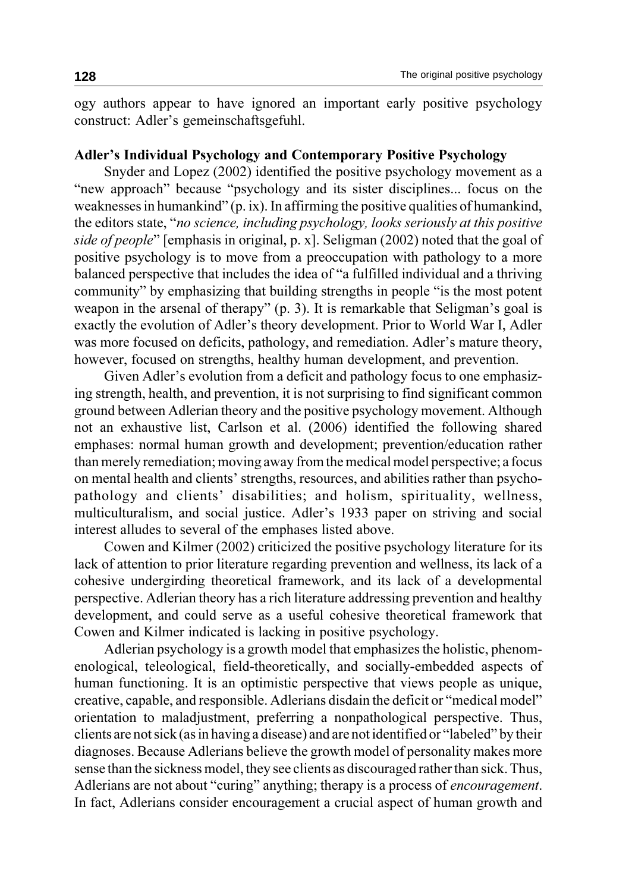ogy authors appear to have ignored an important early positive psychology construct: Adler's gemeinschaftsgefuhl.

#### Adler's Individual Psychology and Contemporary Positive Psychology

Snyder and Lopez (2002) identified the positive psychology movement as a "new approach" because "psychology and its sister disciplines... focus on the weaknesses in humankind" (p. ix). In affirming the positive qualities of humankind, the editors state, "no science, including psychology, looks seriously at this positive side of people" [emphasis in original, p. x]. Seligman  $(2002)$  noted that the goal of positive psychology is to move from a preoccupation with pathology to a more balanced perspective that includes the idea of "a fulfilled individual and a thriving community" by emphasizing that building strengths in people "is the most potent weapon in the arsenal of therapy" (p. 3). It is remarkable that Seligman's goal is exactly the evolution of Adler's theory development. Prior to World War I, Adler was more focused on deficits, pathology, and remediation. Adler's mature theory, however, focused on strengths, healthy human development, and prevention.

Given Adler's evolution from a deficit and pathology focus to one emphasizing strength, health, and prevention, it is not surprising to find significant common ground between Adlerian theory and the positive psychology movement. Although not an exhaustive list, Carlson et al. (2006) identified the following shared emphases: normal human growth and development; prevention/education rather than merely remediation; moving away from the medical model perspective; a focus on mental health and clients' strengths, resources, and abilities rather than psychopathology and clients' disabilities; and holism, spirituality, wellness, multiculturalism, and social justice. Adler's 1933 paper on striving and social interest alludes to several of the emphases listed above.

Cowen and Kilmer (2002) criticized the positive psychology literature for its lack of attention to prior literature regarding prevention and wellness, its lack of a cohesive undergirding theoretical framework, and its lack of a developmental perspective. Adlerian theory has a rich literature addressing prevention and healthy development, and could serve as a useful cohesive theoretical framework that Cowen and Kilmer indicated is lacking in positive psychology.

Adlerian psychology is a growth model that emphasizes the holistic, phenomenological, teleological, field-theoretically, and socially-embedded aspects of human functioning. It is an optimistic perspective that views people as unique, creative, capable, and responsible. Adlerians disdain the deficit or "medical model" orientation to maladjustment, preferring a nonpathological perspective. Thus, clients are not sick (as in having a disease) and are not identified or "labeled" by their diagnoses. Because Adlerians believe the growth model of personality makes more sense than the sickness model, they see clients as discouraged rather than sick. Thus, Adlerians are not about "curing" anything; therapy is a process of *encouragement*. In fact, Adlerians consider encouragement a crucial aspect of human growth and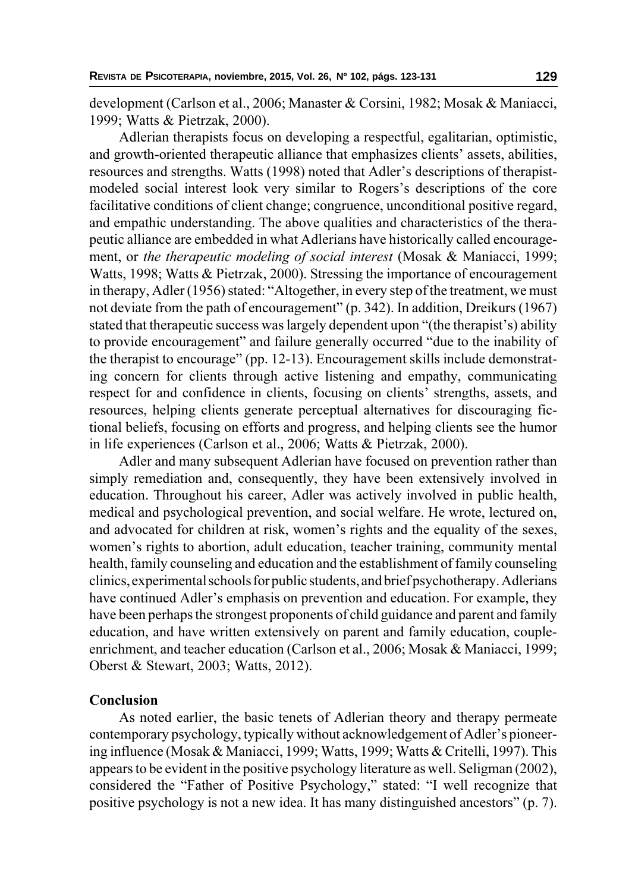development (Carlson et al., 2006; Manaster & Corsini, 1982; Mosak & Maniacci, 1999; Watts & Pietrzak, 2000).

Adlerian therapists focus on developing a respectful, egalitarian, optimistic, and growth-oriented therapeutic alliance that emphasizes clients' assets, abilities, resources and strengths. Watts (1998) noted that Adler's descriptions of therapistmodeled social interest look very similar to Rogers's descriptions of the core facilitative conditions of client change; congruence, unconditional positive regard, and empathic understanding. The above qualities and characteristics of the therapeutic alliance are embedded in what Adlerians have historically called encouragement, or the therapeutic modeling of social interest (Mosak & Maniacci, 1999; Watts, 1998; Watts & Pietrzak, 2000). Stressing the importance of encouragement in therapy, Adler (1956) stated: "Altogether, in every step of the treatment, we must not deviate from the path of encouragement" (p. 342). In addition, Dreikurs (1967) stated that therapeutic success was largely dependent upon "(the therapist's) ability to provide encouragement" and failure generally occurred "due to the inability of the therapist to encourage" (pp. 12-13). Encouragement skills include demonstrating concern for clients through active listening and empathy, communicating respect for and confidence in clients, focusing on clients' strengths, assets, and resources, helping clients generate perceptual alternatives for discouraging fictional beliefs, focusing on efforts and progress, and helping clients see the humor in life experiences (Carlson et al., 2006; Watts & Pietrzak, 2000).

Adler and many subsequent Adlerian have focused on prevention rather than simply remediation and, consequently, they have been extensively involved in education. Throughout his career, Adler was actively involved in public health, medical and psychological prevention, and social welfare. He wrote, lectured on, and advocated for children at risk, women's rights and the equality of the sexes, women's rights to abortion, adult education, teacher training, community mental health, family counseling and education and the establishment of family counseling clinics, experimental schools for public students, and brief psychotherapy. Adlerians have continued Adler's emphasis on prevention and education. For example, they have been perhaps the strongest proponents of child guidance and parent and family education, and have written extensively on parent and family education, coupleenrichment, and teacher education (Carlson et al., 2006; Mosak & Maniacci, 1999; Oberst & Stewart, 2003; Watts, 2012).

## Conclusion

As noted earlier, the basic tenets of Adlerian theory and therapy permeate contemporary psychology, typically without acknowledgement of Adler's pioneering influence (Mosak & Maniacci, 1999; Watts, 1999; Watts & Critelli, 1997). This appears to be evident in the positive psychology literature as well. Seligman (2002), considered the "Father of Positive Psychology," stated: "I well recognize that positive psychology is not a new idea. It has many distinguished ancestors" (p. 7).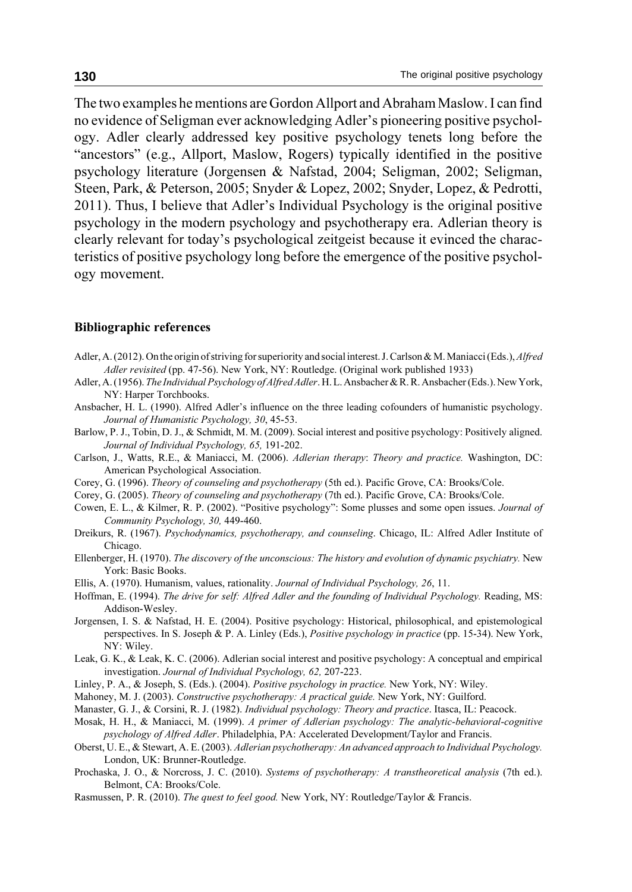The two examples he mentions are Gordon Allport and Abraham Maslow. I can find no evidence of Seligman ever acknowledging Adler's pioneering positive psychology. Adler clearly addressed key positive psychology tenets long before the "ancestors" (e.g., Allport, Maslow, Rogers) typically identified in the positive psychology literature (Jorgensen & Nafstad, 2004; Seligman, 2002; Seligman, Steen, Park, & Peterson, 2005; Snyder & Lopez, 2002; Snyder, Lopez, & Pedrotti, 2011). Thus, I believe that Adler's Individual Psychology is the original positive psychology in the modern psychology and psychotherapy era. Adlerian theory is clearly relevant for today's psychological zeitgeist because it evinced the characteristics of positive psychology long before the emergence of the positive psychology movement.

#### Bibliographic references

- Adler, A. (2012). On the origin of striving for superiority and social interest. J. Carlson & M. Maniacci (Eds.), Alfred Adler revisited (pp. 47-56). New York, NY: Routledge. (Original work published 1933)
- Adler, A. (1956). The Individual Psychology of Alfred Adler. H. L. Ansbacher & R. R. Ansbacher (Eds.). New York, NY: Harper Torchbooks.
- Ansbacher, H. L. (1990). Alfred Adler's influence on the three leading cofounders of humanistic psychology. Journal of Humanistic Psychology, 30, 45-53.
- Barlow, P. J., Tobin, D. J., & Schmidt, M. M. (2009). Social interest and positive psychology: Positively aligned. Journal of Individual Psychology, 65, 191-202.
- Carlson, J., Watts, R.E., & Maniacci, M. (2006). Adlerian therapy: Theory and practice. Washington, DC: American Psychological Association.
- Corey, G. (1996). Theory of counseling and psychotherapy (5th ed.). Pacific Grove, CA: Brooks/Cole.
- Corey, G. (2005). Theory of counseling and psychotherapy (7th ed.). Pacific Grove, CA: Brooks/Cole.
- Cowen, E. L., & Kilmer, R. P. (2002). "Positive psychology": Some plusses and some open issues. Journal of Community Psychology, 30, 449-460.
- Dreikurs, R. (1967). Psychodynamics, psychotherapy, and counseling. Chicago, IL: Alfred Adler Institute of Chicago.
- Ellenberger, H. (1970). The discovery of the unconscious: The history and evolution of dynamic psychiatry. New York: Basic Books.
- Ellis, A. (1970). Humanism, values, rationality. Journal of Individual Psychology, 26, 11.
- Hoffman, E. (1994). The drive for self: Alfred Adler and the founding of Individual Psychology. Reading, MS: Addison-Wesley.
- Jorgensen, I. S. & Nafstad, H. E. (2004). Positive psychology: Historical, philosophical, and epistemological perspectives. In S. Joseph & P. A. Linley (Eds.), Positive psychology in practice (pp. 15-34). New York, NY: Wiley.
- Leak, G. K., & Leak, K. C. (2006). Adlerian social interest and positive psychology: A conceptual and empirical investigation. Journal of Individual Psychology, 62, 207-223.
- Linley, P. A., & Joseph, S. (Eds.). (2004). Positive psychology in practice. New York, NY: Wiley.
- Mahoney, M. J. (2003). Constructive psychotherapy: A practical guide. New York, NY: Guilford.
- Manaster, G. J., & Corsini, R. J. (1982). Individual psychology: Theory and practice. Itasca, IL: Peacock.
- Mosak, H. H., & Maniacci, M. (1999). A primer of Adlerian psychology: The analytic-behavioral-cognitive psychology of Alfred Adler. Philadelphia, PA: Accelerated Development/Taylor and Francis.
- Oberst, U. E., & Stewart, A. E. (2003). Adlerian psychotherapy: An advanced approach to Individual Psychology. London, UK: Brunner-Routledge.
- Prochaska, J. O., & Norcross, J. C. (2010). Systems of psychotherapy: A transtheoretical analysis (7th ed.). Belmont, CA: Brooks/Cole.
- Rasmussen, P. R. (2010). The quest to feel good. New York, NY: Routledge/Taylor & Francis.